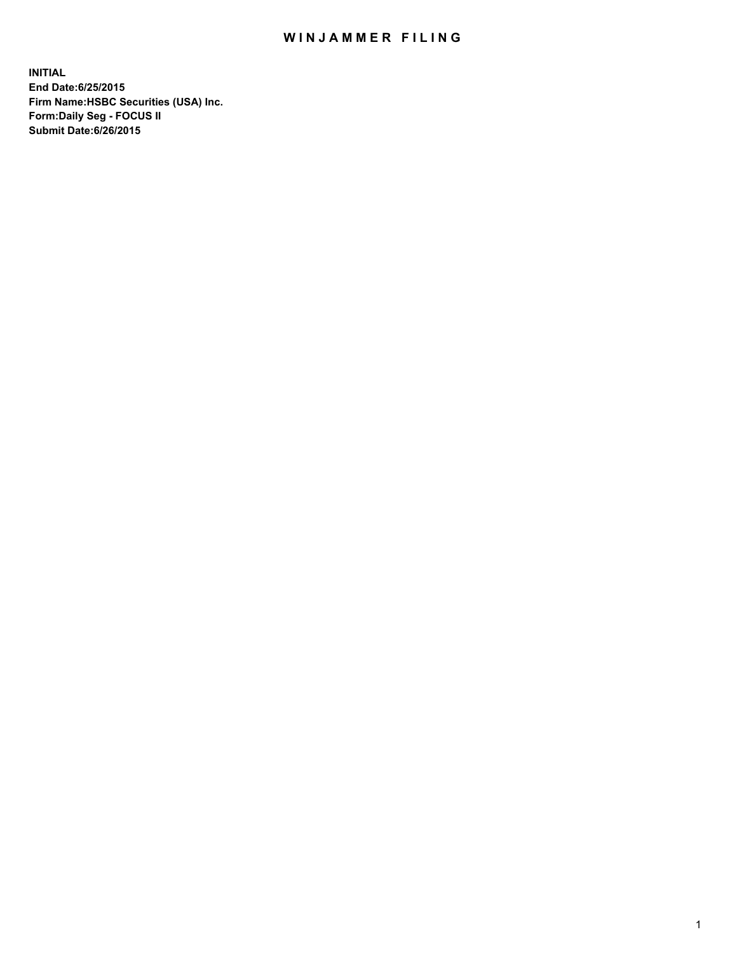## WIN JAMMER FILING

**INITIAL End Date:6/25/2015 Firm Name:HSBC Securities (USA) Inc. Form:Daily Seg - FOCUS II Submit Date:6/26/2015**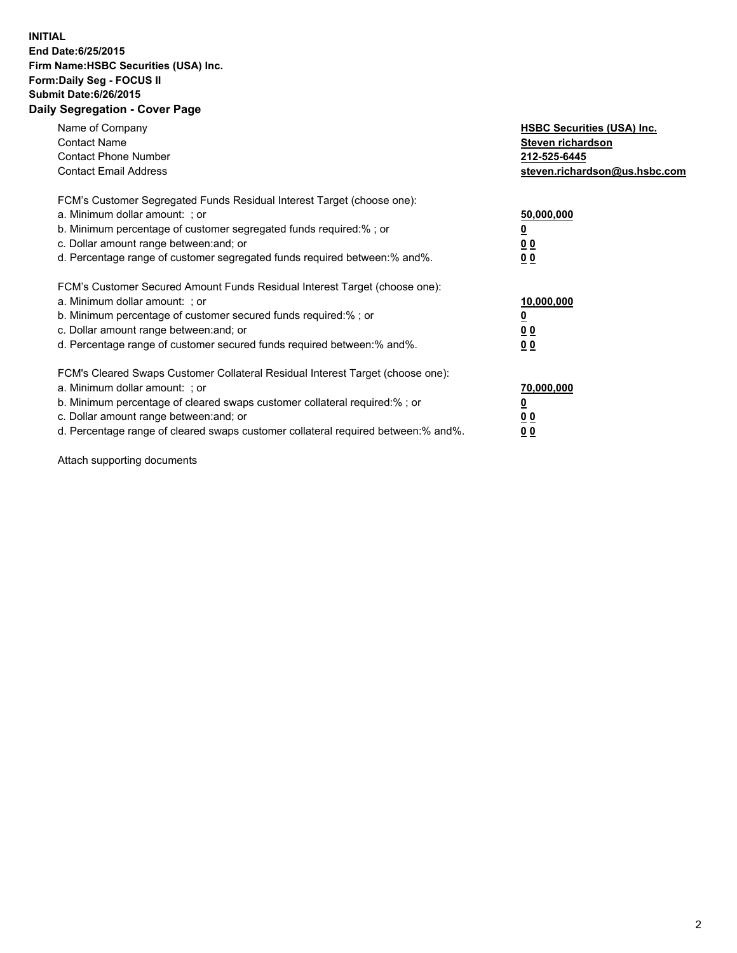## **INITIAL End Date:6/25/2015 Firm Name:HSBC Securities (USA) Inc. Form:Daily Seg - FOCUS II Submit Date:6/26/2015 Daily Segregation - Cover Page**

| Name of Company<br><b>Contact Name</b><br><b>Contact Phone Number</b><br><b>Contact Email Address</b>                                                                                                                                                                                                                          | <b>HSBC Securities (USA) Inc.</b><br>Steven richardson<br>212-525-6445<br>steven.richardson@us.hsbc.com |
|--------------------------------------------------------------------------------------------------------------------------------------------------------------------------------------------------------------------------------------------------------------------------------------------------------------------------------|---------------------------------------------------------------------------------------------------------|
| FCM's Customer Segregated Funds Residual Interest Target (choose one):<br>a. Minimum dollar amount: ; or<br>b. Minimum percentage of customer segregated funds required:%; or<br>c. Dollar amount range between: and; or<br>d. Percentage range of customer segregated funds required between: % and %.                        | 50,000,000<br>0 <sub>0</sub><br>0 <sub>0</sub>                                                          |
| FCM's Customer Secured Amount Funds Residual Interest Target (choose one):<br>a. Minimum dollar amount: ; or<br>b. Minimum percentage of customer secured funds required:%; or<br>c. Dollar amount range between: and; or<br>d. Percentage range of customer secured funds required between:% and%.                            | 10,000,000<br><u>0</u><br>0 <sub>0</sub><br>0 <sub>0</sub>                                              |
| FCM's Cleared Swaps Customer Collateral Residual Interest Target (choose one):<br>a. Minimum dollar amount: ; or<br>b. Minimum percentage of cleared swaps customer collateral required:% ; or<br>c. Dollar amount range between: and; or<br>d. Percentage range of cleared swaps customer collateral required between:% and%. | 70,000,000<br>00<br><u>00</u>                                                                           |

Attach supporting documents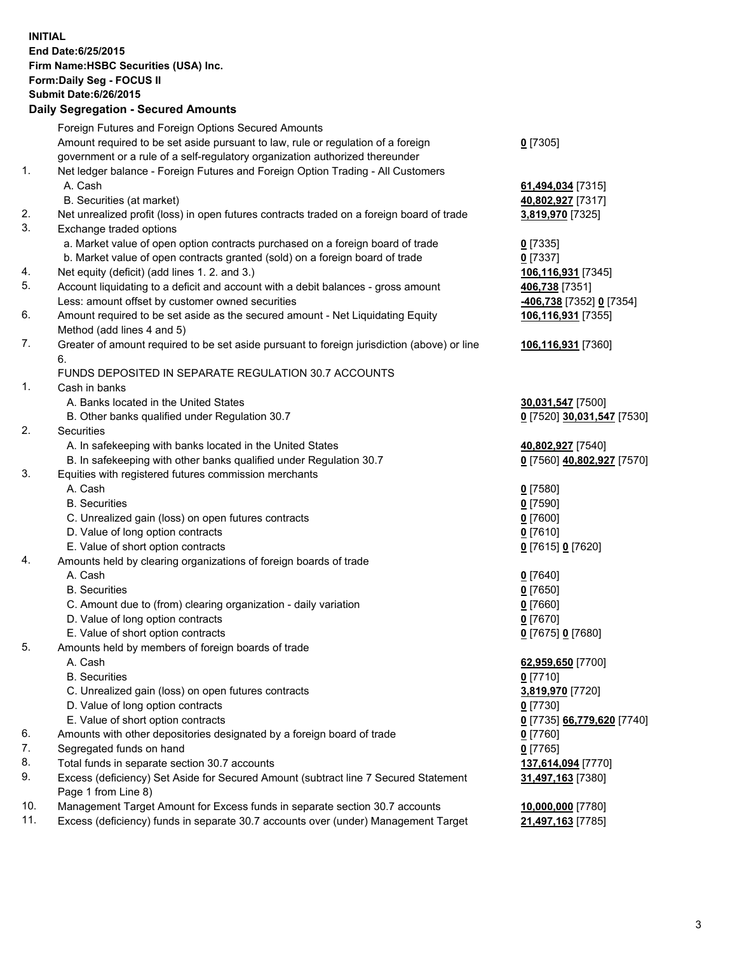**INITIAL End Date:6/25/2015 Firm Name:HSBC Securities (USA) Inc. Form:Daily Seg - FOCUS II Submit Date:6/26/2015 Daily Segregation - Secured Amounts**

Foreign Futures and Foreign Options Secured Amounts Amount required to be set aside pursuant to law, rule or regulation of a foreign government or a rule of a self-regulatory organization authorized thereunder **0** [7305] 1. Net ledger balance - Foreign Futures and Foreign Option Trading - All Customers A. Cash **61,494,034** [7315] B. Securities (at market) **40,802,927** [7317] 2. Net unrealized profit (loss) in open futures contracts traded on a foreign board of trade **3,819,970** [7325] 3. Exchange traded options a. Market value of open option contracts purchased on a foreign board of trade **0** [7335] b. Market value of open contracts granted (sold) on a foreign board of trade **0** [7337] 4. Net equity (deficit) (add lines 1. 2. and 3.) **106,116,931** [7345] 5. Account liquidating to a deficit and account with a debit balances - gross amount **406,738** [7351] Less: amount offset by customer owned securities **-406,738** [7352] **0** [7354] 6. Amount required to be set aside as the secured amount - Net Liquidating Equity Method (add lines 4 and 5) **106,116,931** [7355] 7. Greater of amount required to be set aside pursuant to foreign jurisdiction (above) or line 6. **106,116,931** [7360] FUNDS DEPOSITED IN SEPARATE REGULATION 30.7 ACCOUNTS 1. Cash in banks A. Banks located in the United States **30,031,547** [7500] B. Other banks qualified under Regulation 30.7 **0** [7520] **30,031,547** [7530] 2. Securities A. In safekeeping with banks located in the United States **1998 1998 40,802,927** [7540] B. In safekeeping with other banks qualified under Regulation 30.7 **0** [7560] **40,802,927** [7570] 3. Equities with registered futures commission merchants A. Cash **0** [7580] B. Securities **0** [7590] C. Unrealized gain (loss) on open futures contracts **0** [7600] D. Value of long option contracts **0** [7610] E. Value of short option contracts **0** [7615] **0** [7620] 4. Amounts held by clearing organizations of foreign boards of trade A. Cash **0** [7640] B. Securities **0** [7650] C. Amount due to (from) clearing organization - daily variation **0** [7660] D. Value of long option contracts **0** [7670] E. Value of short option contracts **0** [7675] **0** [7680] 5. Amounts held by members of foreign boards of trade A. Cash **62,959,650** [7700] B. Securities **0** [7710] C. Unrealized gain (loss) on open futures contracts **3,819,970** [7720] D. Value of long option contracts **0** [7730] E. Value of short option contracts **0** [7735] **66,779,620** [7740] 6. Amounts with other depositories designated by a foreign board of trade **0** [7760] 7. Segregated funds on hand **0** [7765] 8. Total funds in separate section 30.7 accounts **137,614,094** [7770] 9. Excess (deficiency) Set Aside for Secured Amount (subtract line 7 Secured Statement Page 1 from Line 8) **31,497,163** [7380] 10. Management Target Amount for Excess funds in separate section 30.7 accounts **10,000,000** [7780] 11. Excess (deficiency) funds in separate 30.7 accounts over (under) Management Target **21,497,163** [7785]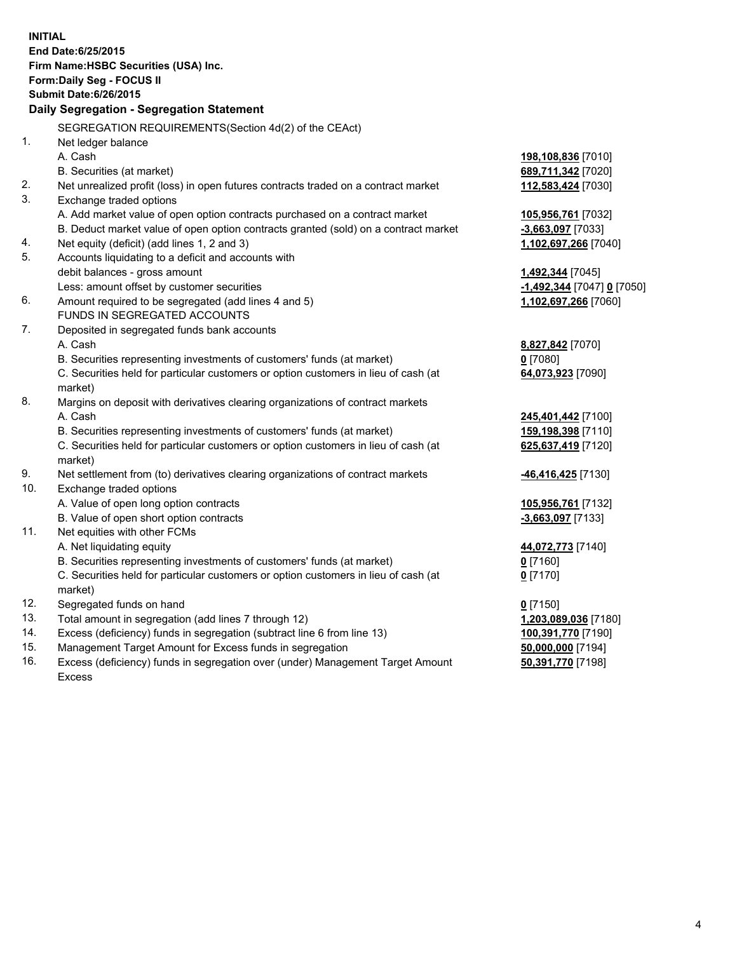| <b>INITIAL</b> | End Date: 6/25/2015<br>Firm Name: HSBC Securities (USA) Inc.<br>Form: Daily Seg - FOCUS II<br><b>Submit Date:6/26/2015</b><br>Daily Segregation - Segregation Statement |                            |
|----------------|-------------------------------------------------------------------------------------------------------------------------------------------------------------------------|----------------------------|
|                | SEGREGATION REQUIREMENTS(Section 4d(2) of the CEAct)                                                                                                                    |                            |
| 1.             | Net ledger balance                                                                                                                                                      |                            |
|                | A. Cash                                                                                                                                                                 | 198,108,836 [7010]         |
|                | B. Securities (at market)                                                                                                                                               | 689,711,342 [7020]         |
| 2.             | Net unrealized profit (loss) in open futures contracts traded on a contract market                                                                                      | 112,583,424 [7030]         |
| 3.             | Exchange traded options                                                                                                                                                 |                            |
|                | A. Add market value of open option contracts purchased on a contract market                                                                                             | 105,956,761 [7032]         |
|                | B. Deduct market value of open option contracts granted (sold) on a contract market                                                                                     | $-3,663,097$ [7033]        |
| 4.             | Net equity (deficit) (add lines 1, 2 and 3)                                                                                                                             | 1,102,697,266 [7040]       |
| 5.             | Accounts liquidating to a deficit and accounts with                                                                                                                     |                            |
|                | debit balances - gross amount                                                                                                                                           | 1,492,344 [7045]           |
|                | Less: amount offset by customer securities                                                                                                                              | -1,492,344 [7047] 0 [7050] |
| 6.             | Amount required to be segregated (add lines 4 and 5)                                                                                                                    | 1,102,697,266 [7060]       |
|                | FUNDS IN SEGREGATED ACCOUNTS                                                                                                                                            |                            |
| 7.             | Deposited in segregated funds bank accounts                                                                                                                             |                            |
|                | A. Cash                                                                                                                                                                 | 8,827,842 [7070]           |
|                | B. Securities representing investments of customers' funds (at market)<br>C. Securities held for particular customers or option customers in lieu of cash (at           | $0$ [7080]                 |
|                | market)                                                                                                                                                                 | 64,073,923 [7090]          |
| 8.             | Margins on deposit with derivatives clearing organizations of contract markets                                                                                          |                            |
|                | A. Cash                                                                                                                                                                 | 245,401,442 [7100]         |
|                | B. Securities representing investments of customers' funds (at market)                                                                                                  | 159,198,398 [7110]         |
|                | C. Securities held for particular customers or option customers in lieu of cash (at<br>market)                                                                          | 625,637,419 [7120]         |
| 9.             | Net settlement from (to) derivatives clearing organizations of contract markets                                                                                         | -46,416,425 [7130]         |
| 10.            | Exchange traded options                                                                                                                                                 |                            |
|                | A. Value of open long option contracts                                                                                                                                  | 105,956,761 [7132]         |
|                | B. Value of open short option contracts                                                                                                                                 | $-3,663,097$ [7133]        |
| 11.            | Net equities with other FCMs                                                                                                                                            |                            |
|                | A. Net liquidating equity                                                                                                                                               | 44,072,773 [7140]          |
|                | B. Securities representing investments of customers' funds (at market)                                                                                                  | $0$ [7160]                 |
|                | C. Securities held for particular customers or option customers in lieu of cash (at<br>market)                                                                          | $0$ [7170]                 |
| 12.            | Segregated funds on hand                                                                                                                                                | $0$ [7150]                 |
| 13.            | Total amount in segregation (add lines 7 through 12)                                                                                                                    | 1,203,089,036 [7180]       |
| 14.            | Excess (deficiency) funds in segregation (subtract line 6 from line 13)                                                                                                 | 100,391,770 [7190]         |
| 15.            | Management Target Amount for Excess funds in segregation                                                                                                                | 50,000,000 [7194]          |

16. Excess (deficiency) funds in segregation over (under) Management Target Amount Excess

**50,391,770** [7198]